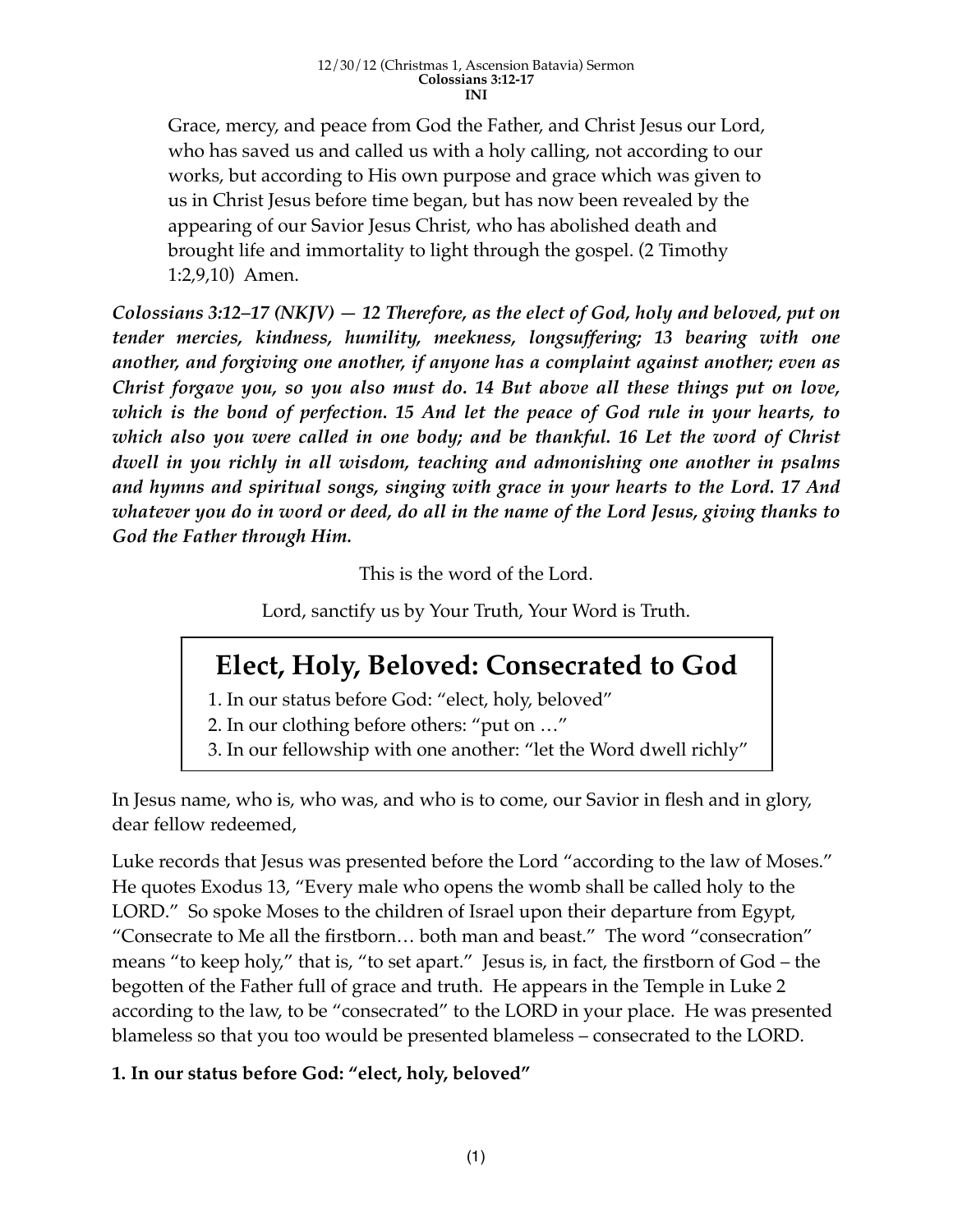Grace, mercy, and peace from God the Father, and Christ Jesus our Lord, who has saved us and called us with a holy calling, not according to our works, but according to His own purpose and grace which was given to us in Christ Jesus before time began, but has now been revealed by the appearing of our Savior Jesus Christ, who has abolished death and brought life and immortality to light through the gospel. (2 Timothy 1:2,9,10) Amen.

*Colossians 3:12–17 (NKJV) — 12 Therefore, as the elect of God, holy and beloved, put on tender mercies, kindness, humility, meekness, longsuffering; 13 bearing with one another, and forgiving one another, if anyone has a complaint against another; even as Christ forgave you, so you also must do. 14 But above all these things put on love, which is the bond of perfection. 15 And let the peace of God rule in your hearts, to which also you were called in one body; and be thankful. 16 Let the word of Christ dwell in you richly in all wisdom, teaching and admonishing one another in psalms and hymns and spiritual songs, singing with grace in your hearts to the Lord. 17 And whatever you do in word or deed, do all in the name of the Lord Jesus, giving thanks to God the Father through Him.*

This is the word of the Lord.

Lord, sanctify us by Your Truth, Your Word is Truth.

# **Elect, Holy, Beloved: Consecrated to God**

- 1. In our status before God: "elect, holy, beloved"
- 2. In our clothing before others: "put on …"
- 3. In our fellowship with one another: "let the Word dwell richly"

In Jesus name, who is, who was, and who is to come, our Savior in flesh and in glory, dear fellow redeemed,

Luke records that Jesus was presented before the Lord "according to the law of Moses." He quotes Exodus 13, "Every male who opens the womb shall be called holy to the LORD." So spoke Moses to the children of Israel upon their departure from Egypt, "Consecrate to Me all the firstborn… both man and beast." The word "consecration" means "to keep holy," that is, "to set apart." Jesus is, in fact, the firstborn of God – the begotten of the Father full of grace and truth. He appears in the Temple in Luke 2 according to the law, to be "consecrated" to the LORD in your place. He was presented blameless so that you too would be presented blameless – consecrated to the LORD.

# **1. In our status before God: "elect, holy, beloved"**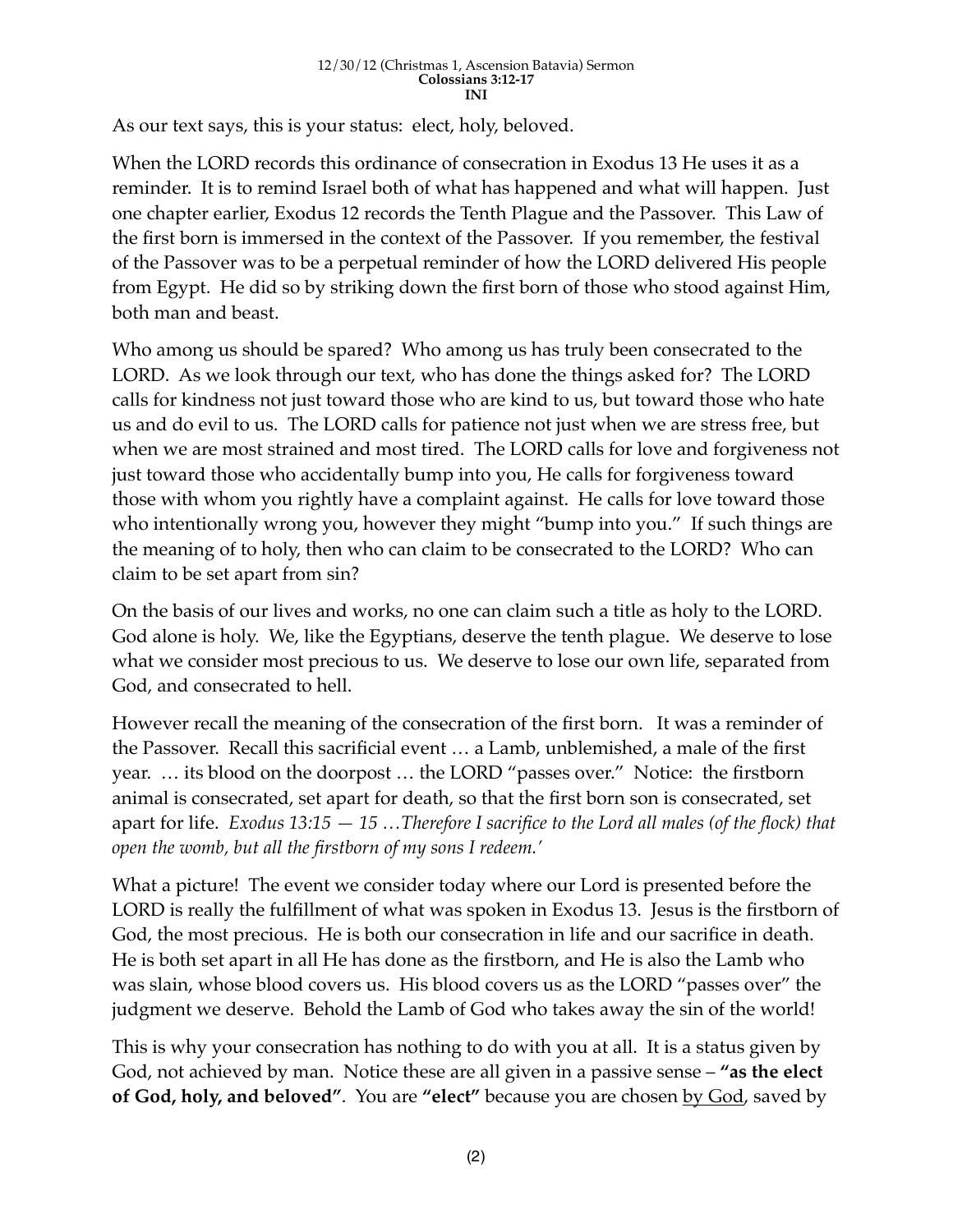### 12/30/12 (Christmas 1, Ascension Batavia) Sermon **Colossians 3:12-17 INI**

As our text says, this is your status: elect, holy, beloved.

When the LORD records this ordinance of consecration in Exodus 13 He uses it as a reminder. It is to remind Israel both of what has happened and what will happen. Just one chapter earlier, Exodus 12 records the Tenth Plague and the Passover. This Law of the first born is immersed in the context of the Passover. If you remember, the festival of the Passover was to be a perpetual reminder of how the LORD delivered His people from Egypt. He did so by striking down the first born of those who stood against Him, both man and beast.

Who among us should be spared? Who among us has truly been consecrated to the LORD. As we look through our text, who has done the things asked for? The LORD calls for kindness not just toward those who are kind to us, but toward those who hate us and do evil to us. The LORD calls for patience not just when we are stress free, but when we are most strained and most tired. The LORD calls for love and forgiveness not just toward those who accidentally bump into you, He calls for forgiveness toward those with whom you rightly have a complaint against. He calls for love toward those who intentionally wrong you, however they might "bump into you." If such things are the meaning of to holy, then who can claim to be consecrated to the LORD? Who can claim to be set apart from sin?

On the basis of our lives and works, no one can claim such a title as holy to the LORD. God alone is holy. We, like the Egyptians, deserve the tenth plague. We deserve to lose what we consider most precious to us. We deserve to lose our own life, separated from God, and consecrated to hell.

However recall the meaning of the consecration of the first born. It was a reminder of the Passover. Recall this sacrificial event … a Lamb, unblemished, a male of the first year. … its blood on the doorpost … the LORD "passes over." Notice: the firstborn animal is consecrated, set apart for death, so that the first born son is consecrated, set apart for life. *Exodus 13:15 — 15 …Therefore I sacrifice to the Lord all males (of the flock) that open the womb, but all the firstborn of my sons I redeem.'*

What a picture! The event we consider today where our Lord is presented before the LORD is really the fulfillment of what was spoken in Exodus 13. Jesus is the firstborn of God, the most precious. He is both our consecration in life and our sacrifice in death. He is both set apart in all He has done as the firstborn, and He is also the Lamb who was slain, whose blood covers us. His blood covers us as the LORD "passes over" the judgment we deserve. Behold the Lamb of God who takes away the sin of the world!

This is why your consecration has nothing to do with you at all. It is a status given by God, not achieved by man. Notice these are all given in a passive sense – **"as the elect of God, holy, and beloved"**. You are **"elect"** because you are chosen by God, saved by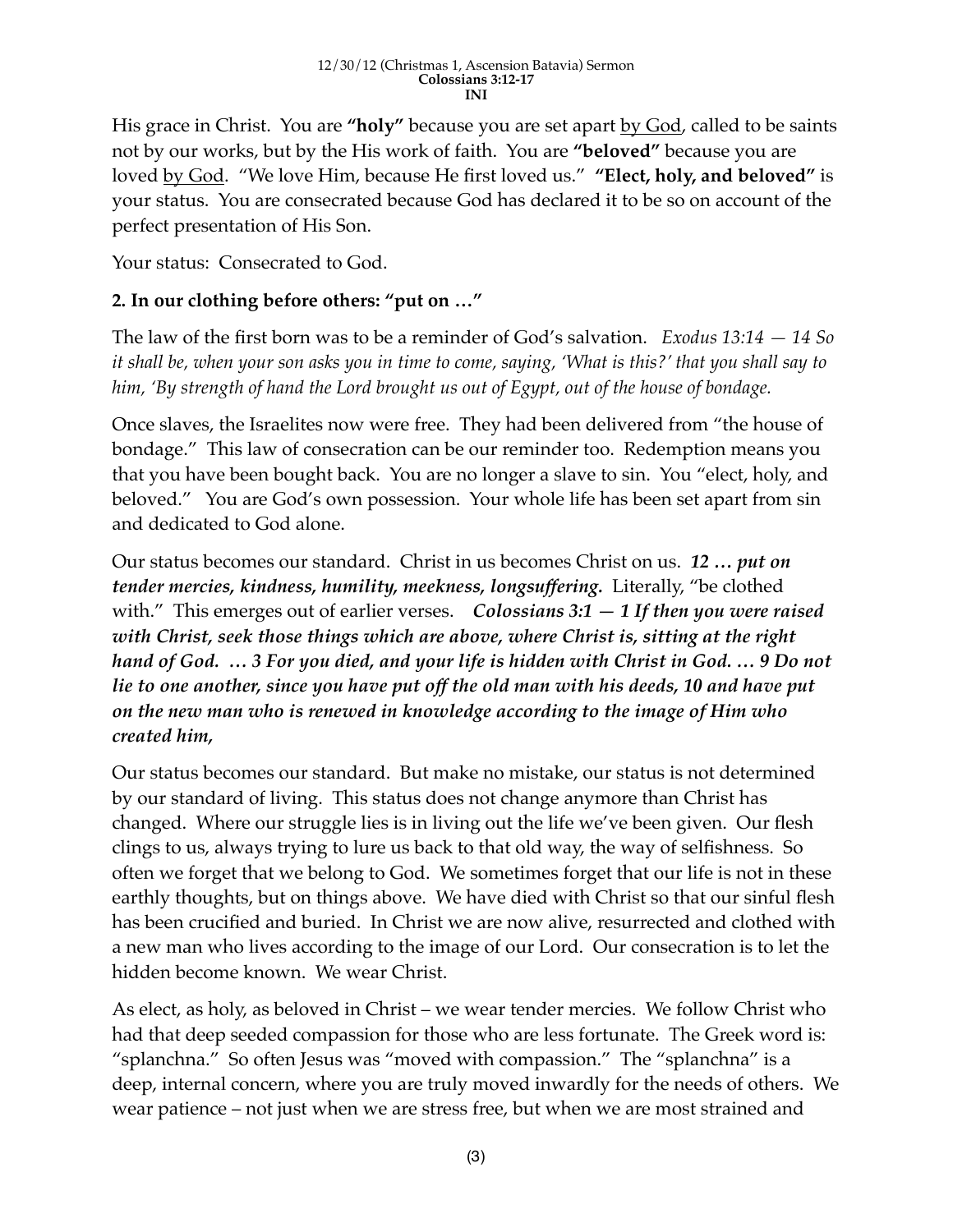His grace in Christ. You are "holy" because you are set apart by God, called to be saints not by our works, but by the His work of faith. You are **"beloved"** because you are loved by God. "We love Him, because He first loved us." **"Elect, holy, and beloved"** is your status. You are consecrated because God has declared it to be so on account of the perfect presentation of His Son.

Your status: Consecrated to God.

### **2. In our clothing before others: "put on …"**

The law of the first born was to be a reminder of God's salvation. *Exodus 13:14 — 14 So it shall be, when your son asks you in time to come, saying, 'What is this?' that you shall say to him, 'By strength of hand the Lord brought us out of Egypt, out of the house of bondage.*

Once slaves, the Israelites now were free. They had been delivered from "the house of bondage." This law of consecration can be our reminder too. Redemption means you that you have been bought back. You are no longer a slave to sin. You "elect, holy, and beloved." You are God's own possession. Your whole life has been set apart from sin and dedicated to God alone.

Our status becomes our standard. Christ in us becomes Christ on us. *12 … put on tender mercies, kindness, humility, meekness, longsuffering.* Literally, "be clothed with." This emerges out of earlier verses. *Colossians 3:1 — 1 If then you were raised with Christ, seek those things which are above, where Christ is, sitting at the right hand of God. … 3 For you died, and your life is hidden with Christ in God. … 9 Do not lie to one another, since you have put off the old man with his deeds, 10 and have put on the new man who is renewed in knowledge according to the image of Him who created him,*

Our status becomes our standard. But make no mistake, our status is not determined by our standard of living. This status does not change anymore than Christ has changed. Where our struggle lies is in living out the life we've been given. Our flesh clings to us, always trying to lure us back to that old way, the way of selfishness. So often we forget that we belong to God. We sometimes forget that our life is not in these earthly thoughts, but on things above. We have died with Christ so that our sinful flesh has been crucified and buried. In Christ we are now alive, resurrected and clothed with a new man who lives according to the image of our Lord. Our consecration is to let the hidden become known. We wear Christ.

As elect, as holy, as beloved in Christ – we wear tender mercies. We follow Christ who had that deep seeded compassion for those who are less fortunate. The Greek word is: "splanchna." So often Jesus was "moved with compassion." The "splanchna" is a deep, internal concern, where you are truly moved inwardly for the needs of others. We wear patience – not just when we are stress free, but when we are most strained and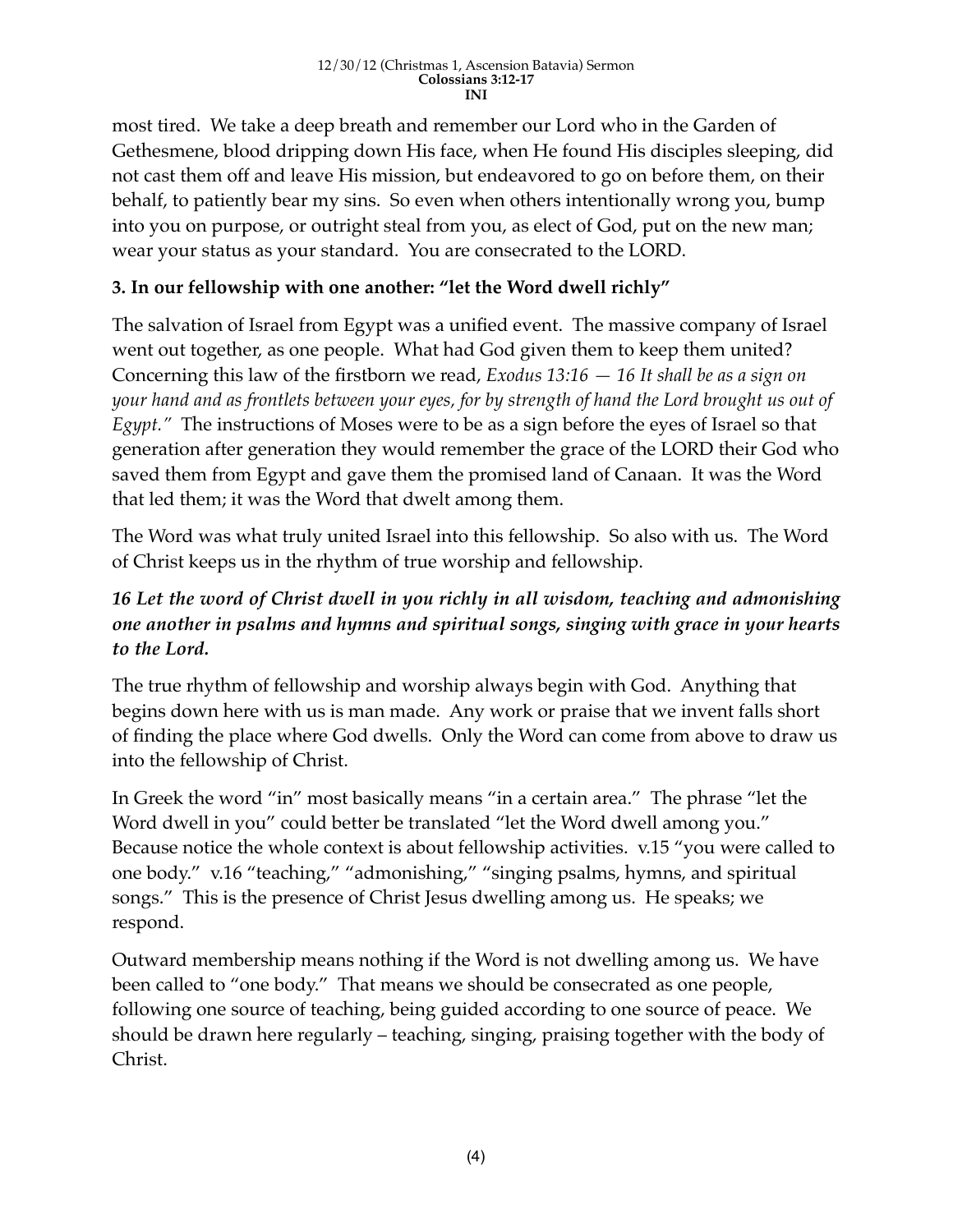most tired. We take a deep breath and remember our Lord who in the Garden of Gethesmene, blood dripping down His face, when He found His disciples sleeping, did not cast them off and leave His mission, but endeavored to go on before them, on their behalf, to patiently bear my sins. So even when others intentionally wrong you, bump into you on purpose, or outright steal from you, as elect of God, put on the new man; wear your status as your standard. You are consecrated to the LORD.

# **3. In our fellowship with one another: "let the Word dwell richly"**

The salvation of Israel from Egypt was a unified event. The massive company of Israel went out together, as one people. What had God given them to keep them united? Concerning this law of the firstborn we read, *Exodus 13:16 — 16 It shall be as a sign on your hand and as frontlets between your eyes, for by strength of hand the Lord brought us out of Egypt.*" The instructions of Moses were to be as a sign before the eyes of Israel so that generation after generation they would remember the grace of the LORD their God who saved them from Egypt and gave them the promised land of Canaan. It was the Word that led them; it was the Word that dwelt among them.

The Word was what truly united Israel into this fellowship. So also with us.The Word of Christ keeps us in the rhythm of true worship and fellowship.

# *16 Let the word of Christ dwell in you richly in all wisdom, teaching and admonishing one another in psalms and hymns and spiritual songs, singing with grace in your hearts to the Lord.*

The true rhythm of fellowship and worship always begin with God. Anything that begins down here with us is man made. Any work or praise that we invent falls short of finding the place where God dwells. Only the Word can come from above to draw us into the fellowship of Christ.

In Greek the word "in" most basically means "in a certain area." The phrase "let the Word dwell in you" could better be translated "let the Word dwell among you." Because notice the whole context is about fellowship activities. v.15 "you were called to one body." v.16 "teaching," "admonishing," "singing psalms, hymns, and spiritual songs." This is the presence of Christ Jesus dwelling among us. He speaks; we respond.

Outward membership means nothing if the Word is not dwelling among us. We have been called to "one body." That means we should be consecrated as one people, following one source of teaching, being guided according to one source of peace. We should be drawn here regularly – teaching, singing, praising together with the body of Christ.